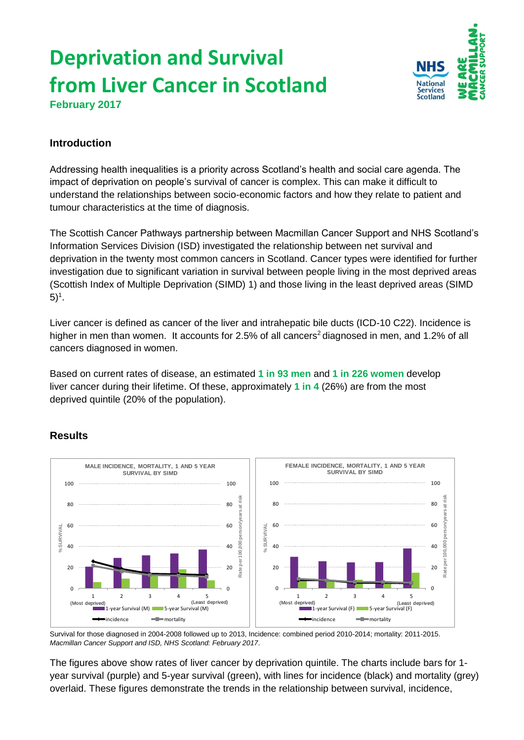# **Deprivation and Survival from Liver Cancer in Scotland February 2017**



## **Introduction**

Addressing health inequalities is a priority across Scotland's health and social care agenda. The impact of deprivation on people's survival of cancer is complex. This can make it difficult to understand the relationships between socio-economic factors and how they relate to patient and tumour characteristics at the time of diagnosis.

The Scottish Cancer Pathways partnership between Macmillan Cancer Support and NHS Scotland's Information Services Division (ISD) investigated the relationship between net survival and deprivation in the twenty most common cancers in Scotland. Cancer types were identified for further investigation due to significant variation in survival between people living in the most deprived areas (Scottish Index of Multiple Deprivation (SIMD) 1) and those living in the least deprived areas (SIMD  $(5)^{1}$ .

Liver cancer is defined as cancer of the liver and intrahepatic bile ducts (ICD-10 C22). Incidence is higher in men than women. It accounts for 2.5% of all cancers<sup>2</sup> diagnosed in men, and 1.2% of all cancers diagnosed in women.

Based on current rates of disease, an estimated **1 in 93 men** and **1 in 226 women** develop liver cancer during their lifetime. Of these, approximately **1 in 4** (26%) are from the most deprived quintile (20% of the population).



# **Results**

Survival for those diagnosed in 2004-2008 followed up to 2013, Incidence: combined period 2010-2014; mortality: 2011-2015. *Macmillan Cancer Support and ISD, NHS Scotland: February 2017*.

The figures above show rates of liver cancer by deprivation quintile. The charts include bars for 1 year survival (purple) and 5-year survival (green), with lines for incidence (black) and mortality (grey) overlaid. These figures demonstrate the trends in the relationship between survival, incidence,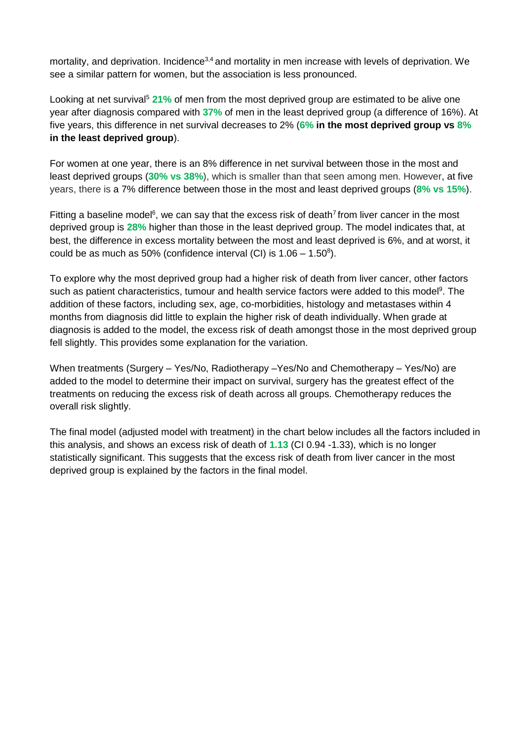mortality, and deprivation. Incidence<sup>3,4</sup> and mortality in men increase with levels of deprivation. We see a similar pattern for women, but the association is less pronounced.

Looking at net survival<sup>5</sup> 21% of men from the most deprived group are estimated to be alive one year after diagnosis compared with **37%** of men in the least deprived group (a difference of 16%). At five years, this difference in net survival decreases to 2% (**6% in the most deprived group vs 8% in the least deprived group**).

For women at one year, there is an 8% difference in net survival between those in the most and least deprived groups (**30% vs 38%**), which is smaller than that seen among men. However, at five years, there is a 7% difference between those in the most and least deprived groups (**8% vs 15%**).

Fitting a baseline model<sup>6</sup>, we can say that the excess risk of death<sup>7</sup> from liver cancer in the most deprived group is **28%** higher than those in the least deprived group. The model indicates that, at best, the difference in excess mortality between the most and least deprived is 6%, and at worst, it could be as much as 50% (confidence interval (CI) is  $1.06 - 1.50^8$ ).

To explore why the most deprived group had a higher risk of death from liver cancer, other factors such as patient characteristics, tumour and health service factors were added to this model<sup>9</sup>. The addition of these factors, including sex, age, co-morbidities, histology and metastases within 4 months from diagnosis did little to explain the higher risk of death individually. When grade at diagnosis is added to the model, the excess risk of death amongst those in the most deprived group fell slightly. This provides some explanation for the variation.

When treatments (Surgery – Yes/No, Radiotherapy –Yes/No and Chemotherapy – Yes/No) are added to the model to determine their impact on survival, surgery has the greatest effect of the treatments on reducing the excess risk of death across all groups. Chemotherapy reduces the overall risk slightly.

The final model (adjusted model with treatment) in the chart below includes all the factors included in this analysis, and shows an excess risk of death of **1.13** (CI 0.94 -1.33), which is no longer statistically significant. This suggests that the excess risk of death from liver cancer in the most deprived group is explained by the factors in the final model.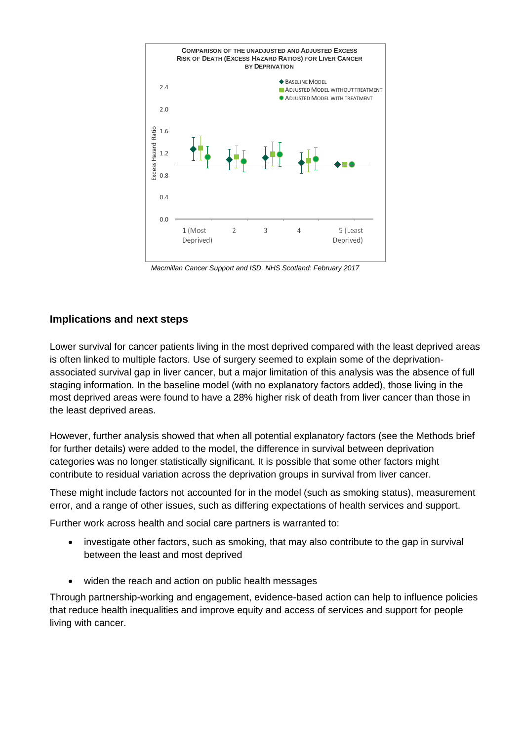

*Macmillan Cancer Support and ISD, NHS Scotland: February 2017*

### **Implications and next steps**

Lower survival for cancer patients living in the most deprived compared with the least deprived areas is often linked to multiple factors. Use of surgery seemed to explain some of the deprivationassociated survival gap in liver cancer, but a major limitation of this analysis was the absence of full staging information. In the baseline model (with no explanatory factors added), those living in the most deprived areas were found to have a 28% higher risk of death from liver cancer than those in the least deprived areas.

However, further analysis showed that when all potential explanatory factors (see the Methods brief for further details) were added to the model, the difference in survival between deprivation categories was no longer statistically significant. It is possible that some other factors might contribute to residual variation across the deprivation groups in survival from liver cancer.

These might include factors not accounted for in the model (such as smoking status), measurement error, and a range of other issues, such as differing expectations of health services and support.

Further work across health and social care partners is warranted to:

- investigate other factors, such as smoking, that may also contribute to the gap in survival between the least and most deprived
- widen the reach and action on public health messages

Through partnership-working and engagement, evidence-based action can help to influence policies that reduce health inequalities and improve equity and access of services and support for people living with cancer.